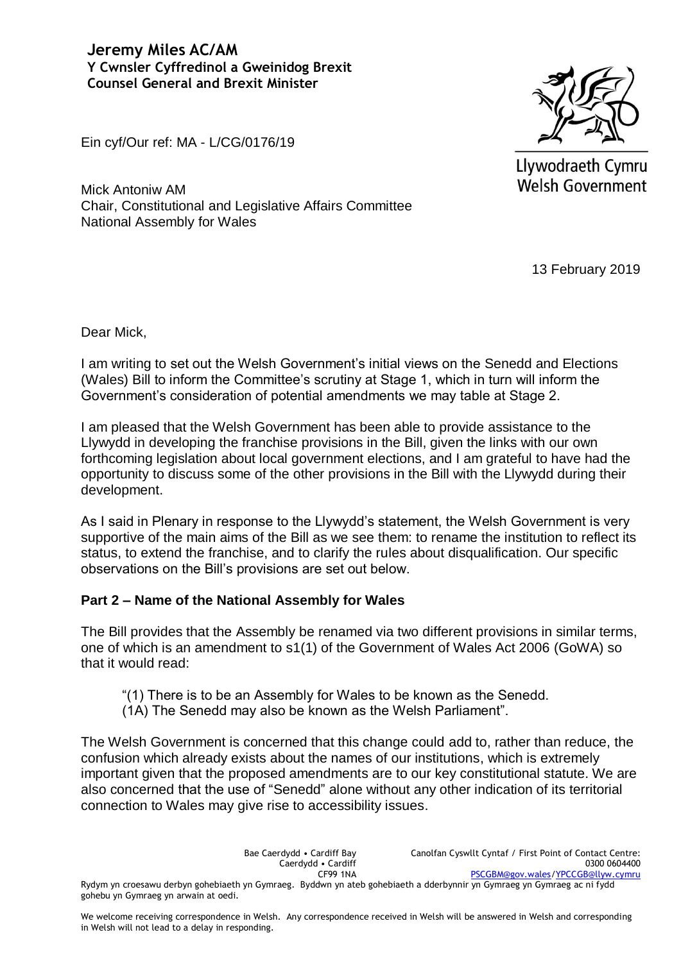**Jeremy Miles AC/AM Y Cwnsler Cyffredinol a Gweinidog Brexit Counsel General and Brexit Minister**

Ein cyf/Our ref: MA - L/CG/0176/19

Mick Antoniw AM Chair, Constitutional and Legislative Affairs Committee National Assembly for Wales



Llywodraeth Cymru **Welsh Government** 

13 February 2019

Dear Mick,

I am writing to set out the Welsh Government's initial views on the Senedd and Elections (Wales) Bill to inform the Committee's scrutiny at Stage 1, which in turn will inform the Government's consideration of potential amendments we may table at Stage 2.

I am pleased that the Welsh Government has been able to provide assistance to the Llywydd in developing the franchise provisions in the Bill, given the links with our own forthcoming legislation about local government elections, and I am grateful to have had the opportunity to discuss some of the other provisions in the Bill with the Llywydd during their development.

As I said in Plenary in response to the Llywydd's statement, the Welsh Government is very supportive of the main aims of the Bill as we see them: to rename the institution to reflect its status, to extend the franchise, and to clarify the rules about disqualification. Our specific observations on the Bill's provisions are set out below.

## **Part 2 – Name of the National Assembly for Wales**

The Bill provides that the Assembly be renamed via two different provisions in similar terms, one of which is an amendment to s1(1) of the Government of Wales Act 2006 (GoWA) so that it would read:

"(1) There is to be an Assembly for Wales to be known as the Senedd.

(1A) The Senedd may also be known as the Welsh Parliament".

The Welsh Government is concerned that this change could add to, rather than reduce, the confusion which already exists about the names of our institutions, which is extremely important given that the proposed amendments are to our key constitutional statute. We are also concerned that the use of "Senedd" alone without any other indication of its territorial connection to Wales may give rise to accessibility issues.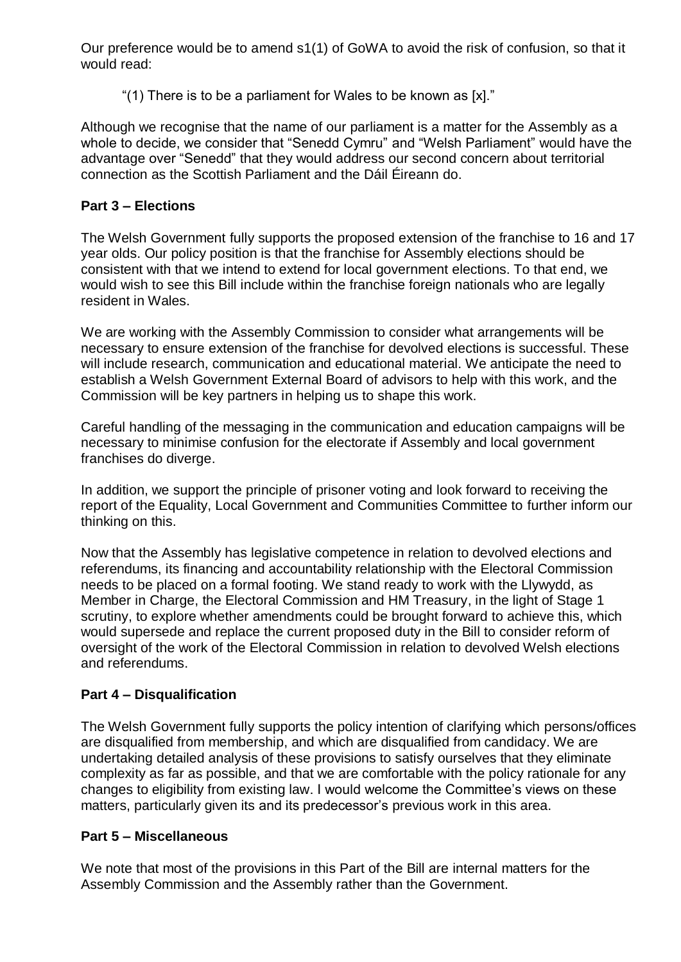Our preference would be to amend s1(1) of GoWA to avoid the risk of confusion, so that it would read:

"(1) There is to be a parliament for Wales to be known as [x]."

Although we recognise that the name of our parliament is a matter for the Assembly as a whole to decide, we consider that "Senedd Cymru" and "Welsh Parliament" would have the advantage over "Senedd" that they would address our second concern about territorial connection as the Scottish Parliament and the Dáil Éireann do.

## **Part 3 – Elections**

The Welsh Government fully supports the proposed extension of the franchise to 16 and 17 year olds. Our policy position is that the franchise for Assembly elections should be consistent with that we intend to extend for local government elections. To that end, we would wish to see this Bill include within the franchise foreign nationals who are legally resident in Wales.

We are working with the Assembly Commission to consider what arrangements will be necessary to ensure extension of the franchise for devolved elections is successful. These will include research, communication and educational material. We anticipate the need to establish a Welsh Government External Board of advisors to help with this work, and the Commission will be key partners in helping us to shape this work.

Careful handling of the messaging in the communication and education campaigns will be necessary to minimise confusion for the electorate if Assembly and local government franchises do diverge.

In addition, we support the principle of prisoner voting and look forward to receiving the report of the Equality, Local Government and Communities Committee to further inform our thinking on this.

Now that the Assembly has legislative competence in relation to devolved elections and referendums, its financing and accountability relationship with the Electoral Commission needs to be placed on a formal footing. We stand ready to work with the Llywydd, as Member in Charge, the Electoral Commission and HM Treasury, in the light of Stage 1 scrutiny, to explore whether amendments could be brought forward to achieve this, which would supersede and replace the current proposed duty in the Bill to consider reform of oversight of the work of the Electoral Commission in relation to devolved Welsh elections and referendums.

## **Part 4 – Disqualification**

The Welsh Government fully supports the policy intention of clarifying which persons/offices are disqualified from membership, and which are disqualified from candidacy. We are undertaking detailed analysis of these provisions to satisfy ourselves that they eliminate complexity as far as possible, and that we are comfortable with the policy rationale for any changes to eligibility from existing law. I would welcome the Committee's views on these matters, particularly given its and its predecessor's previous work in this area.

## **Part 5 – Miscellaneous**

We note that most of the provisions in this Part of the Bill are internal matters for the Assembly Commission and the Assembly rather than the Government.